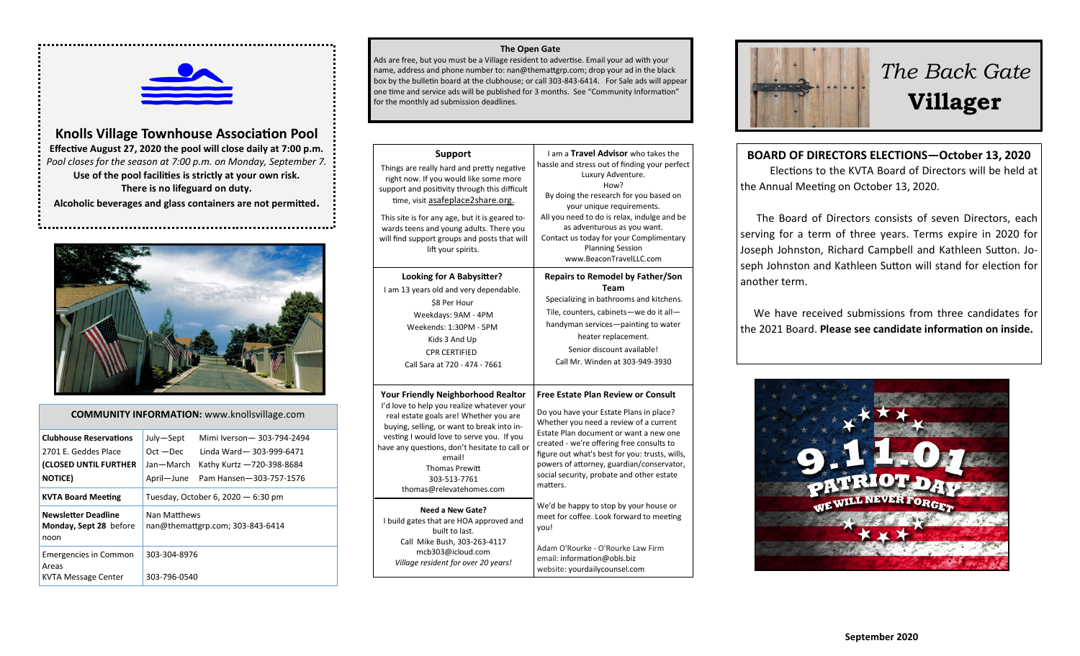

**Knolls Village Townhouse Association Pool Effective August 27, 2020 the pool will close daily at 7:00 p.m.** *Pool closes for the season at 7:00 p.m. on Monday, September 7.* **Use of the pool facilities is strictly at your own risk.** 

**There is no lifeguard on duty.**

**Alcoholic beverages and glass containers are not permitted.**



| <b>COMMUNITY INFORMATION:</b> www.knollsvillage.com                                               |                                                     |                                                                                                              |  |
|---------------------------------------------------------------------------------------------------|-----------------------------------------------------|--------------------------------------------------------------------------------------------------------------|--|
| <b>Clubhouse Reservations</b><br>2701 E. Geddes Place<br>(CLOSED UNTIL FURTHER<br><b>NOTICE</b> ) | July-Sept<br>$Oct - Dec$<br>Jan-March<br>April-June | Mimi Iverson-303-794-2494<br>Linda Ward-303-999-6471<br>Kathy Kurtz -720-398-8684<br>Pam Hansen-303-757-1576 |  |
| <b>KVTA Board Meeting</b>                                                                         | Tuesday, October 6, 2020 $-$ 6:30 pm                |                                                                                                              |  |
| <b>Newsletter Deadline</b><br>Monday, Sept 28 before<br>noon                                      | Nan Matthews                                        | nan@themattgrp.com; 303-843-6414                                                                             |  |
| <b>Emergencies in Common</b><br>Areas<br><b>KVTA Message Center</b>                               | 303-304-8976<br>303-796-0540                        |                                                                                                              |  |

#### **The Open Gate**

Ads are free, but you must be a Village resident to advertise. Email your ad with your name, address and phone number to: nan@themattgrp.com; drop your ad in the black box by the bulletin board at the clubhouse; or call 303-843-6414. For Sale ads will appear one time and service ads will be published for 3 months. See "Community Information" for the monthly ad submission deadlines.

| <b>Support</b><br>Things are really hard and pretty negative<br>right now. If you would like some more<br>support and positivity through this difficult<br>time, visit asafeplace2share.org.<br>This site is for any age, but it is geared to-<br>wards teens and young adults. There you<br>will find support groups and posts that will<br>lift your spirits. | I am a Travel Advisor who takes the<br>hassle and stress out of finding your perfect<br>Luxury Adventure.<br>How?<br>By doing the research for you based on<br>your unique requirements.<br>All you need to do is relax, indulge and be<br>as adventurous as you want.<br>Contact us today for your Complimentary<br><b>Planning Session</b><br>www.BeaconTravelLLC.com       |
|-----------------------------------------------------------------------------------------------------------------------------------------------------------------------------------------------------------------------------------------------------------------------------------------------------------------------------------------------------------------|-------------------------------------------------------------------------------------------------------------------------------------------------------------------------------------------------------------------------------------------------------------------------------------------------------------------------------------------------------------------------------|
| Looking for A Babysitter?<br>I am 13 years old and very dependable.<br>\$8 Per Hour<br>Weekdays: 9AM - 4PM<br>Weekends: 1:30PM - 5PM<br>Kids 3 And Up<br><b>CPR CERTIFIED</b><br>Call Sara at 720 - 474 - 7661                                                                                                                                                  | <b>Repairs to Remodel by Father/Son</b><br><b>Team</b><br>Specializing in bathrooms and kitchens.<br>Tile, counters, cabinets-we do it all-<br>handyman services-painting to water<br>heater replacement.<br>Senior discount available!<br>Call Mr. Winden at 303-949-3930                                                                                                    |
| <b>Your Friendly Neighborhood Realtor</b><br>I'd love to help you realize whatever your<br>real estate goals are! Whether you are<br>buying, selling, or want to break into in-<br>vesting I would love to serve you. If you<br>have any questions, don't hesitate to call or<br>email!<br><b>Thomas Prewitt</b><br>303-513-7761<br>thomas@relevatehomes.com    | <b>Free Estate Plan Review or Consult</b><br>Do you have your Estate Plans in place?<br>Whether you need a review of a current<br>Estate Plan document or want a new one<br>created - we're offering free consults to<br>figure out what's best for you: trusts, wills,<br>powers of attorney, guardian/conservator,<br>social security, probate and other estate<br>matters. |
| Need a New Gate?<br>I build gates that are HOA approved and<br>built to last.<br>Call Mike Bush, 303-263-4117<br>mcb303@icloud.com<br>Village resident for over 20 years!                                                                                                                                                                                       | We'd be happy to stop by your house or<br>meet for coffee. Look forward to meeting<br>you!<br>Adam O'Rourke - O'Rourke Law Firm<br>email: information@obls.biz<br>website: yourdailycounsel.com                                                                                                                                                                               |



# *The Back Gate*  **Villager**

**BOARD OF DIRECTORS ELECTIONS—October 13, 2020** Elections to the KVTA Board of Directors will be held at the Annual Meeting on October 13, 2020.

 The Board of Directors consists of seven Directors, each serving for a term of three years. Terms expire in 2020 for Joseph Johnston, Richard Campbell and Kathleen Sutton. Joseph Johnston and Kathleen Sutton will stand for election for another term.

 We have received submissions from three candidates for the 2021 Board. **Please see candidate information on inside.**